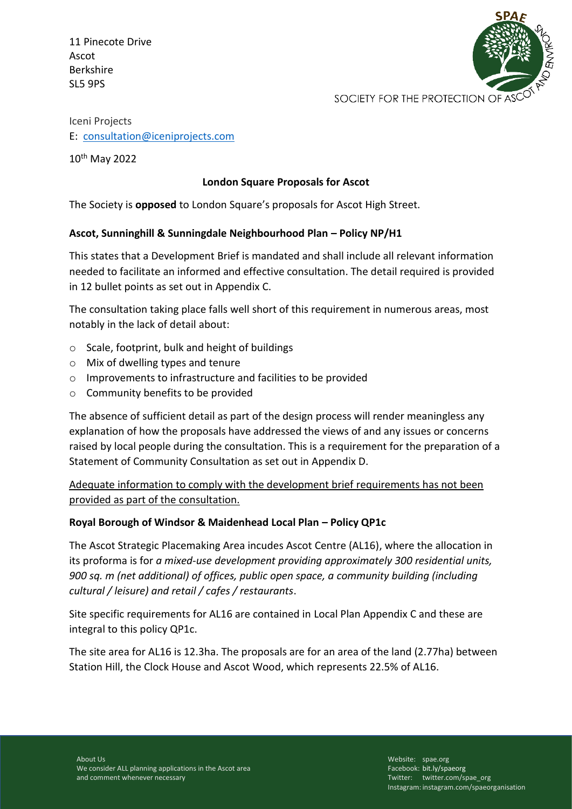11 Pinecote Drive Ascot Berkshire SL5 9PS



Iceni Projects E: [consultation@iceniprojects.com](mailto:consultation@iceniprojects.com)

10th May 2022

## **London Square Proposals for Ascot**

The Society is **opposed** to London Square's proposals for Ascot High Street.

## **Ascot, Sunninghill & Sunningdale Neighbourhood Plan – Policy NP/H1**

This states that a Development Brief is mandated and shall include all relevant information needed to facilitate an informed and effective consultation. The detail required is provided in 12 bullet points as set out in Appendix C.

The consultation taking place falls well short of this requirement in numerous areas, most notably in the lack of detail about:

- $\circ$  Scale, footprint, bulk and height of buildings
- o Mix of dwelling types and tenure
- o Improvements to infrastructure and facilities to be provided
- o Community benefits to be provided

The absence of sufficient detail as part of the design process will render meaningless any explanation of how the proposals have addressed the views of and any issues or concerns raised by local people during the consultation. This is a requirement for the preparation of a Statement of Community Consultation as set out in Appendix D.

Adequate information to comply with the development brief requirements has not been provided as part of the consultation.

## **Royal Borough of Windsor & Maidenhead Local Plan – Policy QP1c**

The Ascot Strategic Placemaking Area incudes Ascot Centre (AL16), where the allocation in its proforma is for *a mixed-use development providing approximately 300 residential units, 900 sq. m (net additional) of offices, public open space, a community building (including cultural / leisure) and retail / cafes / restaurants*.

Site specific requirements for AL16 are contained in Local Plan Appendix C and these are integral to this policy QP1c.

The site area for AL16 is 12.3ha. The proposals are for an area of the land (2.77ha) between Station Hill, the Clock House and Ascot Wood, which represents 22.5% of AL16.